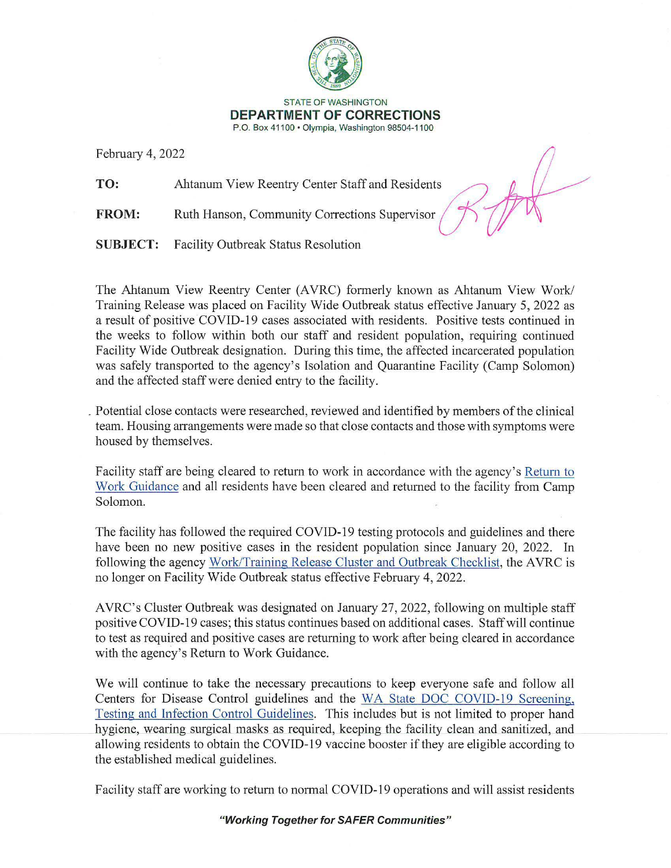

## STATE OF WASHINGTON **DEPARTMENT OF CORRECTIONS**  P.O. Box 41100 • Olympia, Washington 98504-1100

February 4, 2022

**TO:** Ahtanum View Reentry Center Staff and Residents 0 **FROM:** Ahtanum View Reentry Center Staff and Residents<br>**FROM:** Ruth Hanson, Community Corrections Supervisor

**SUBJECT:** Facility Outbreak Status Resolution

The Ahtanum View Reentry Center (AVRC) formerly known as Ahtanum View Work/ Training Release was placed on Facility Wide Outbreak status effective January 5, 2022 as a result of positive COVID-19 cases associated with residents. Positive tests continued in the weeks to follow within both our staff and resident population, requiring continued Facility Wide Outbreak designation. During this time, the affected incarcerated population was safely transported to the agency's Isolation and Quarantine Facility (Camp Solomon) and the affected staff were denied entry to the facility.

. Potential close contacts were researched, reviewed and identified by members of the clinical team. Housing arrangements were made so that close contacts and those with symptoms were housed by themselves.

Facility staff are being cleared to return to work in accordance with the agency's Return to Work Guidance and all residents have been cleared and returned to the facility from Camp Solomon.

The facility has followed the required COVID-19 testing protocols and guidelines and there have been no new positive cases in the resident population since January 20, 2022. In following the agency Work/Training Release Cluster and Outbreak Checklist, the AVRC is no longer on Facility Wide Outbreak status effective February 4, 2022.

AVRC's Cluster Outbreak was designated on January 27, 2022, following on multiple staff positive COVID-19 cases; this status continues based on additional cases. Staffwill continue to test as required and positive cases are returning to work after being cleared in accordance with the agency's Return to Work Guidance.

We will continue to take the necessary precautions to keep everyone safe and follow all Centers for Disease Control guidelines and the WA State DOC COVID-19 Screening, Testing and Infection Control Guidelines. This includes but is not limited to proper hand hygiene, wearing surgical masks as required, keeping the facility clean and sanitized, and allowing residents to obtain the COVID-19 vaccine booster if they are eligible according to the established medical guidelines.

Facility staff are working to return to normal COVID-19 operations and will assist residents